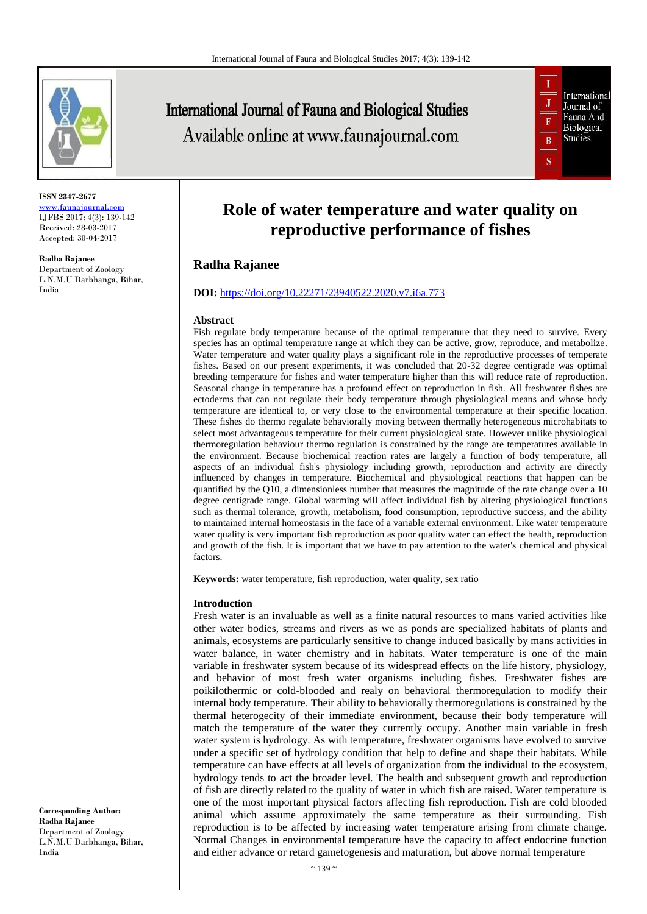

**ISSN 2347-2677** [www.faunajournal.com](http://www.faunajournal.com/) IJFBS 2017; 4(3): 139-142 Received: 28-03-2017 Accepted: 30-04-2017

**Radha Rajanee**

Department of Zoology L.N.M.U Darbhanga, Bihar, India

**International Journal of Fauna and Biological Studies** Available online at www.faunajournal.com



# **Role of water temperature and water quality on reproductive performance of fishes**

# **Radha Rajanee**

## **DOI:** <https://doi.org/10.22271/23940522.2020.v7.i6a.773>

#### **Abstract**

Fish regulate body temperature because of the optimal temperature that they need to survive. Every species has an optimal temperature range at which they can be active, grow, reproduce, and metabolize. Water temperature and water quality plays a significant role in the reproductive processes of temperate fishes. Based on our present experiments, it was concluded that 20-32 degree centigrade was optimal breeding temperature for fishes and water temperature higher than this will reduce rate of reproduction. Seasonal change in temperature has a profound effect on reproduction in fish. All freshwater fishes are ectoderms that can not regulate their body temperature through physiological means and whose body temperature are identical to, or very close to the environmental temperature at their specific location. These fishes do thermo regulate behaviorally moving between thermally heterogeneous microhabitats to select most advantageous temperature for their current physiological state. However unlike physiological thermoregulation behaviour thermo regulation is constrained by the range are temperatures available in the environment. Because biochemical reaction rates are largely a function of body temperature, all aspects of an individual fish's physiology including growth, reproduction and activity are directly influenced by changes in temperature. Biochemical and physiological reactions that happen can be quantified by the Q10, a dimensionless number that measures the magnitude of the rate change over a 10 degree centigrade range. Global warming will affect individual fish by altering physiological functions such as thermal tolerance, growth, metabolism, food consumption, reproductive success, and the ability to maintained internal homeostasis in the face of a variable external environment. Like water temperature water quality is very important fish reproduction as poor quality water can effect the health, reproduction and growth of the fish. It is important that we have to pay attention to the water's chemical and physical factors.

**Keywords:** water temperature, fish reproduction, water quality, sex ratio

#### **Introduction**

Fresh water is an invaluable as well as a finite natural resources to mans varied activities like other water bodies, streams and rivers as we as ponds are specialized habitats of plants and animals, ecosystems are particularly sensitive to change induced basically by mans activities in water balance, in water chemistry and in habitats. Water temperature is one of the main variable in freshwater system because of its widespread effects on the life history, physiology, and behavior of most fresh water organisms including fishes. Freshwater fishes are poikilothermic or cold-blooded and realy on behavioral thermoregulation to modify their internal body temperature. Their ability to behaviorally thermoregulations is constrained by the thermal heterogecity of their immediate environment, because their body temperature will match the temperature of the water they currently occupy. Another main variable in fresh water system is hydrology. As with temperature, freshwater organisms have evolved to survive under a specific set of hydrology condition that help to define and shape their habitats. While temperature can have effects at all levels of organization from the individual to the ecosystem, hydrology tends to act the broader level. The health and subsequent growth and reproduction of fish are directly related to the quality of water in which fish are raised. Water temperature is one of the most important physical factors affecting fish reproduction. Fish are cold blooded animal which assume approximately the same temperature as their surrounding. Fish reproduction is to be affected by increasing water temperature arising from climate change. Normal Changes in environmental temperature have the capacity to affect endocrine function and either advance or retard gametogenesis and maturation, but above normal temperature

**Corresponding Author: Radha Rajanee** Department of Zoology L.N.M.U Darbhanga, Bihar, India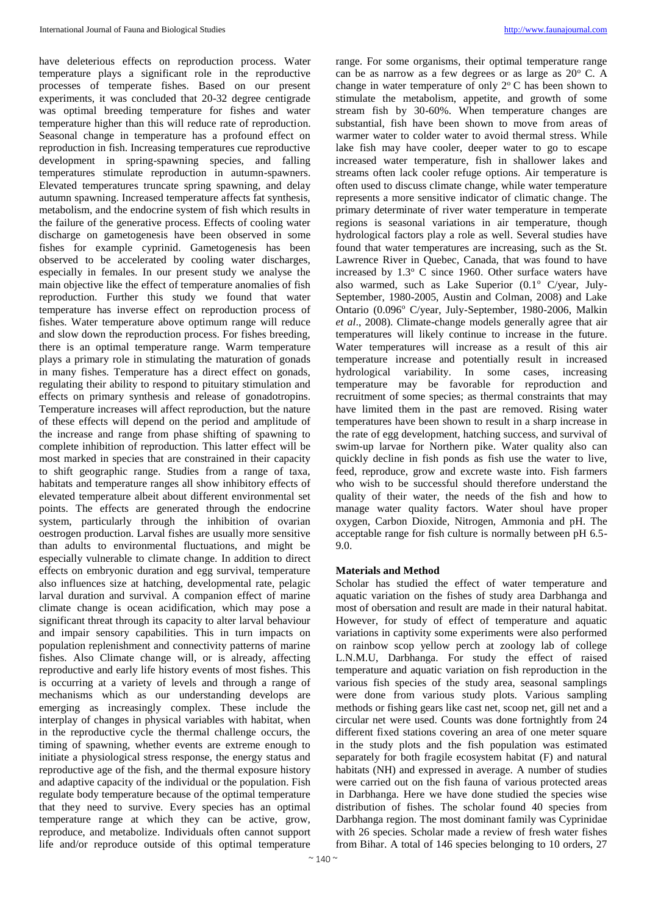have deleterious effects on reproduction process. Water temperature plays a significant role in the reproductive processes of temperate fishes. Based on our present experiments, it was concluded that 20-32 degree centigrade was optimal breeding temperature for fishes and water temperature higher than this will reduce rate of reproduction. Seasonal change in temperature has a profound effect on reproduction in fish. Increasing temperatures cue reproductive development in spring-spawning species, and falling temperatures stimulate reproduction in autumn-spawners. Elevated temperatures truncate spring spawning, and delay autumn spawning. Increased temperature affects fat synthesis, metabolism, and the endocrine system of fish which results in the failure of the generative process. Effects of cooling water discharge on gametogenesis have been observed in some fishes for example cyprinid. Gametogenesis has been observed to be accelerated by cooling water discharges, especially in females. In our present study we analyse the main objective like the effect of temperature anomalies of fish reproduction. Further this study we found that water temperature has inverse effect on reproduction process of fishes. Water temperature above optimum range will reduce and slow down the reproduction process. For fishes breeding, there is an optimal temperature range. Warm temperature plays a primary role in stimulating the maturation of gonads in many fishes. Temperature has a direct effect on gonads, regulating their ability to respond to pituitary stimulation and effects on primary synthesis and release of gonadotropins. Temperature increases will affect reproduction, but the nature of these effects will depend on the period and amplitude of the increase and range from phase shifting of spawning to complete inhibition of reproduction. This latter effect will be most marked in species that are constrained in their capacity to shift geographic range. Studies from a range of taxa, habitats and temperature ranges all show inhibitory effects of elevated temperature albeit about different environmental set points. The effects are generated through the endocrine system, particularly through the inhibition of ovarian oestrogen production. Larval fishes are usually more sensitive than adults to environmental fluctuations, and might be especially vulnerable to climate change. In addition to direct effects on embryonic duration and egg survival, temperature also influences size at hatching, developmental rate, pelagic larval duration and survival. A companion effect of marine climate change is ocean acidification, which may pose a significant threat through its capacity to alter larval behaviour and impair sensory capabilities. This in turn impacts on population replenishment and connectivity patterns of marine fishes. Also Climate change will, or is already, affecting reproductive and early life history events of most fishes. This is occurring at a variety of levels and through a range of mechanisms which as our understanding develops are emerging as increasingly complex. These include the interplay of changes in physical variables with habitat, when in the reproductive cycle the thermal challenge occurs, the timing of spawning, whether events are extreme enough to initiate a physiological stress response, the energy status and reproductive age of the fish, and the thermal exposure history and adaptive capacity of the individual or the population. Fish regulate body temperature because of the optimal temperature that they need to survive. Every species has an optimal temperature range at which they can be active, grow, reproduce, and metabolize. Individuals often cannot support life and/or reproduce outside of this optimal temperature

range. For some organisms, their optimal temperature range can be as narrow as a few degrees or as large as  $20^{\circ}$  C. A change in water temperature of only  $2^{\circ}$  C has been shown to stimulate the metabolism, appetite, and growth of some stream fish by 30-60%. When temperature changes are substantial, fish have been shown to move from areas of warmer water to colder water to avoid thermal stress. While lake fish may have cooler, deeper water to go to escape increased water temperature, fish in shallower lakes and streams often lack cooler refuge options. Air temperature is often used to discuss climate change, while water temperature represents a more sensitive indicator of climatic change. The primary determinate of river water temperature in temperate regions is seasonal variations in air temperature, though hydrological factors play a role as well. Several studies have found that water temperatures are increasing, such as the St. Lawrence River in Quebec, Canada, that was found to have increased by  $1.3^{\circ}$  C since 1960. Other surface waters have also warmed, such as Lake Superior  $(0.1^{\circ}$  C/year, July-September, 1980-2005, Austin and Colman, 2008) and Lake Ontario (0.096° C/year, July-September, 1980-2006, Malkin *et al*., 2008). Climate-change models generally agree that air temperatures will likely continue to increase in the future. Water temperatures will increase as a result of this air temperature increase and potentially result in increased hydrological variability. In some cases, increasing temperature may be favorable for reproduction and recruitment of some species; as thermal constraints that may have limited them in the past are removed. Rising water temperatures have been shown to result in a sharp increase in the rate of egg development, hatching success, and survival of swim-up larvae for Northern pike. Water quality also can quickly decline in fish ponds as fish use the water to live, feed, reproduce, grow and excrete waste into. Fish farmers who wish to be successful should therefore understand the quality of their water, the needs of the fish and how to manage water quality factors. Water shoul have proper oxygen, Carbon Dioxide, Nitrogen, Ammonia and pH. The acceptable range for fish culture is normally between pH 6.5- 9.0.

#### **Materials and Method**

Scholar has studied the effect of water temperature and aquatic variation on the fishes of study area Darbhanga and most of obersation and result are made in their natural habitat. However, for study of effect of temperature and aquatic variations in captivity some experiments were also performed on rainbow scop yellow perch at zoology lab of college L.N.M.U, Darbhanga. For study the effect of raised temperature and aquatic variation on fish reproduction in the various fish species of the study area, seasonal samplings were done from various study plots. Various sampling methods or fishing gears like cast net, scoop net, gill net and a circular net were used. Counts was done fortnightly from 24 different fixed stations covering an area of one meter square in the study plots and the fish population was estimated separately for both fragile ecosystem habitat (F) and natural habitats (NH) and expressed in average. A number of studies were carried out on the fish fauna of various protected areas in Darbhanga. Here we have done studied the species wise distribution of fishes. The scholar found 40 species from Darbhanga region. The most dominant family was Cyprinidae with 26 species. Scholar made a review of fresh water fishes from Bihar. A total of 146 species belonging to 10 orders, 27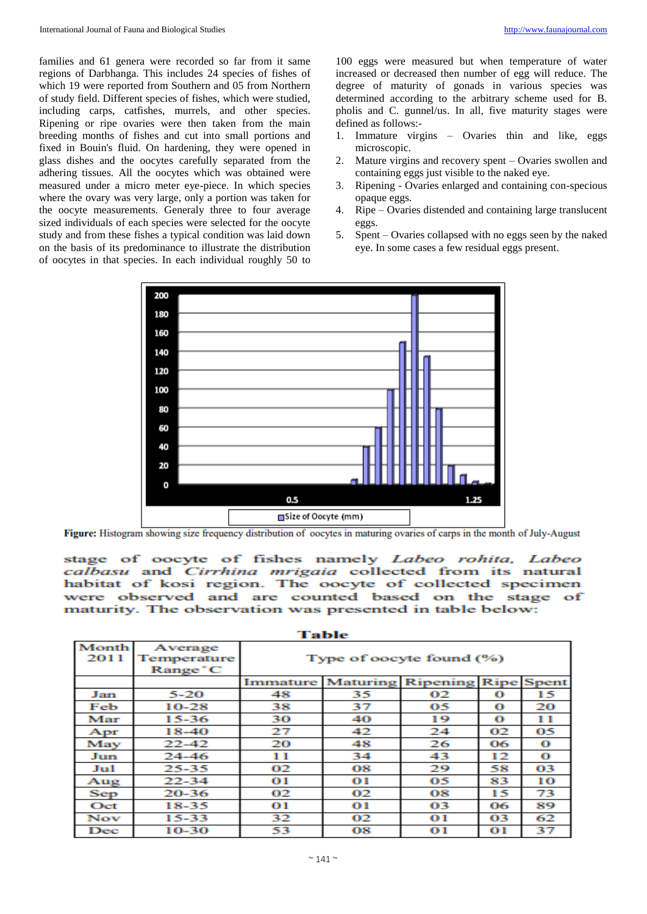families and 61 genera were recorded so far from it same regions of Darbhanga. This includes 24 species of fishes of which 19 were reported from Southern and 05 from Northern of study field. Different species of fishes, which were studied, including carps, catfishes, murrels, and other species. Ripening or ripe ovaries were then taken from the main breeding months of fishes and cut into small portions and fixed in Bouin's fluid. On hardening, they were opened in glass dishes and the oocytes carefully separated from the adhering tissues. All the oocytes which was obtained were measured under a micro meter eye-piece. In which species where the ovary was very large, only a portion was taken for the oocyte measurements. Generaly three to four average sized individuals of each species were selected for the oocyte study and from these fishes a typical condition was laid down on the basis of its predominance to illustrate the distribution of oocytes in that species. In each individual roughly 50 to

100 eggs were measured but when temperature of water increased or decreased then number of egg will reduce. The degree of maturity of gonads in various species was determined according to the arbitrary scheme used for B. pholis and C. gunnel/us. In all, five maturity stages were defined as follows:-

- 1. Immature virgins Ovaries thin and like, eggs microscopic.
- 2. Mature virgins and recovery spent Ovaries swollen and containing eggs just visible to the naked eye.
- 3. Ripening Ovaries enlarged and containing con-specious opaque eggs.
- 4. Ripe Ovaries distended and containing large translucent eggs.
- 5. Spent Ovaries collapsed with no eggs seen by the naked eye. In some cases a few residual eggs present.



Figure: Histogram showing size frequency distribution of oocytes in maturing ovaries of carps in the month of July-August

stage of oocyte of fishes namely Labeo rohita, Labeo calbasu and Cirrhina mrigaia collected from its natural habitat of kosi region. The oocyte of collected specimen were observed and are counted based on the stage of maturity. The observation was presented in table below:

Table

| Month<br>2011 | Average<br>Temperature<br>Range C | Type of oocyte found (%)          |    |                |             |                   |
|---------------|-----------------------------------|-----------------------------------|----|----------------|-------------|-------------------|
|               |                                   | <b>Immature Maturing Ripening</b> |    |                |             | <b>Ripe</b> Spent |
| Jan           | $5 - 20$                          | 48                                | 35 | 02             | о           | 15                |
| Feb           | $10 - 28$                         | 38                                | 37 | 05             | $\mathbf o$ | 20                |
| Mar           | 15-36                             | 30                                | 40 | 19             | $\Omega$    | 11                |
| $_{\rm Apr}$  | 18-40                             | 27                                | 42 | 24             | 02          | 05                |
| May           | $22 - 42$                         | 20                                | 48 | 26             | 06          | $\mathbf o$       |
| Jun           | 24-46                             | 11                                | 34 | 43             | 12          | $\Omega$          |
| Jul           | 25-35                             | 02                                | 08 | 29             | 58          | 03                |
| Aug           | $22 - 34$                         | О 1                               | О1 | 05             | 83          | 10                |
| Sep           | 20-36                             | 02                                | 02 | 08             | 15          | 73                |
| Oct           | 18-35                             | О1                                | О1 | 03             | 06          | 89                |
| Nov           | $15 - 33$                         | 32                                | 02 | 01             | 03          | 62                |
| Dec           | 10-30                             | 53                                | 08 | $\mathbf{O}$ 1 | 01          | 37                |